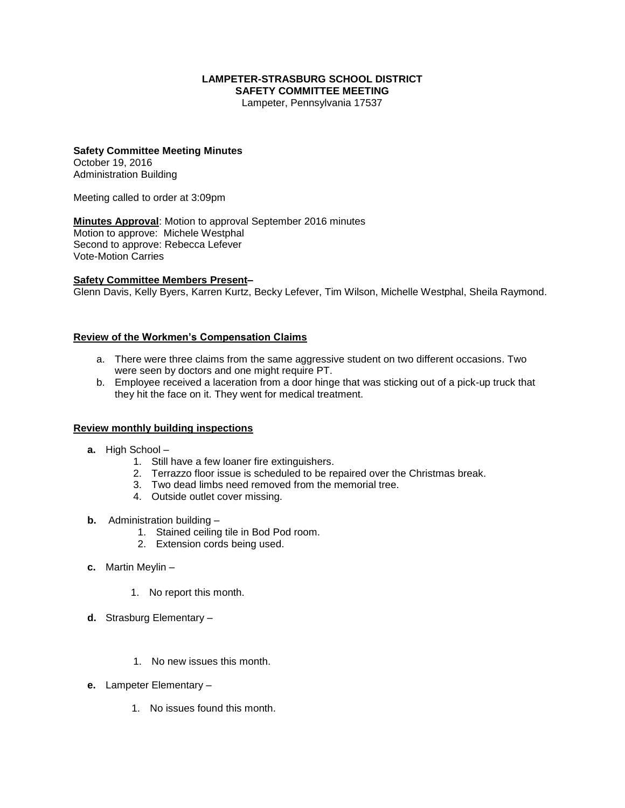#### **LAMPETER-STRASBURG SCHOOL DISTRICT SAFETY COMMITTEE MEETING**

Lampeter, Pennsylvania 17537

# **Safety Committee Meeting Minutes**

October 19, 2016 Administration Building

Meeting called to order at 3:09pm

**Minutes Approval**: Motion to approval September 2016 minutes Motion to approve: Michele Westphal Second to approve: Rebecca Lefever Vote-Motion Carries

#### **Safety Committee Members Present–**

Glenn Davis, Kelly Byers, Karren Kurtz, Becky Lefever, Tim Wilson, Michelle Westphal, Sheila Raymond.

### **Review of the Workmen's Compensation Claims**

- a. There were three claims from the same aggressive student on two different occasions. Two were seen by doctors and one might require PT.
- b. Employee received a laceration from a door hinge that was sticking out of a pick-up truck that they hit the face on it. They went for medical treatment.

#### **Review monthly building inspections**

- **a.** High School
	- 1. Still have a few loaner fire extinguishers.
	- 2. Terrazzo floor issue is scheduled to be repaired over the Christmas break.
	- 3. Two dead limbs need removed from the memorial tree.
	- 4. Outside outlet cover missing.
- **b.** Administration building
	- 1. Stained ceiling tile in Bod Pod room.
	- 2. Extension cords being used.
- **c.** Martin Meylin
	- 1. No report this month.
- **d.** Strasburg Elementary
	- 1. No new issues this month.
- **e.** Lampeter Elementary
	- 1. No issues found this month.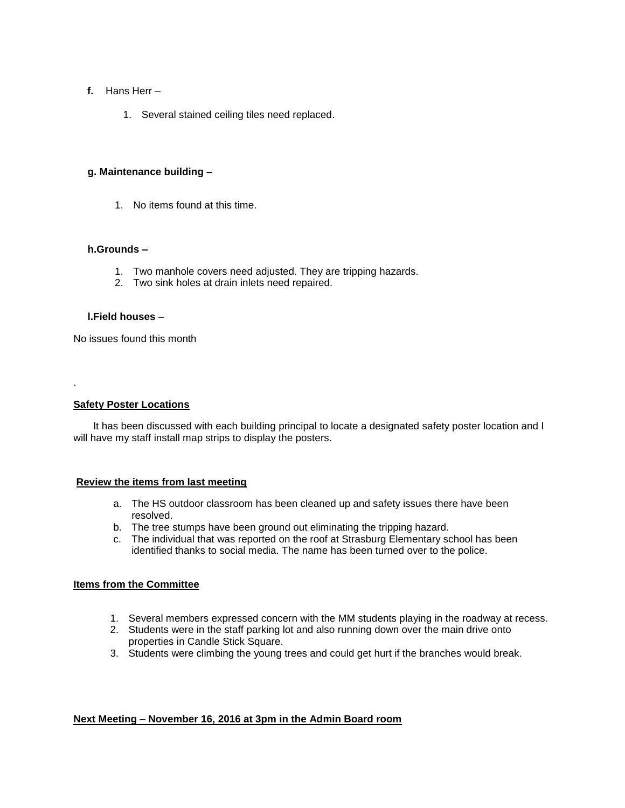- **f.** Hans Herr
	- 1. Several stained ceiling tiles need replaced.

## **g. Maintenance building –**

1. No items found at this time.

### **h.Grounds –**

- 1. Two manhole covers need adjusted. They are tripping hazards.
- 2. Two sink holes at drain inlets need repaired.

## **l.Field houses** –

No issues found this month

**Safety Poster Locations**

.

It has been discussed with each building principal to locate a designated safety poster location and I will have my staff install map strips to display the posters.

### **Review the items from last meeting**

- a. The HS outdoor classroom has been cleaned up and safety issues there have been resolved.
- b. The tree stumps have been ground out eliminating the tripping hazard.
- c. The individual that was reported on the roof at Strasburg Elementary school has been identified thanks to social media. The name has been turned over to the police.

## **Items from the Committee**

- 1. Several members expressed concern with the MM students playing in the roadway at recess.
- 2. Students were in the staff parking lot and also running down over the main drive onto properties in Candle Stick Square.
- 3. Students were climbing the young trees and could get hurt if the branches would break.

## **Next Meeting – November 16, 2016 at 3pm in the Admin Board room**